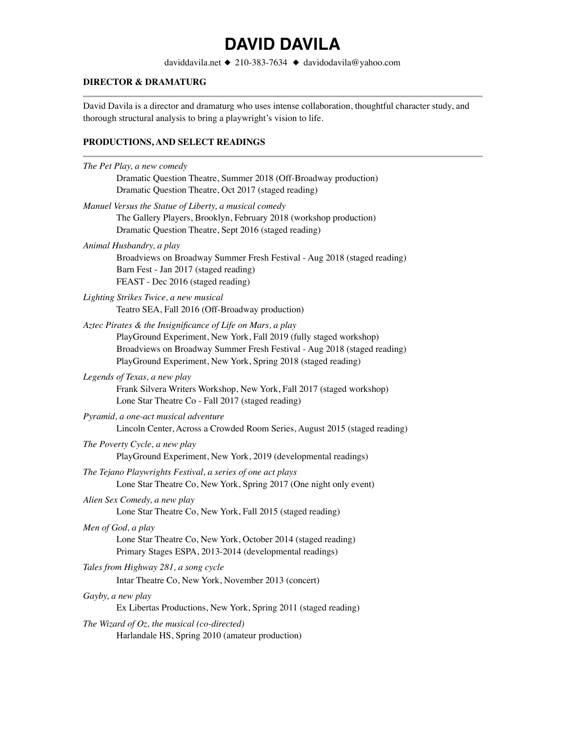## **DAVID DAVILA**

daviddavila.net ◆ 210-383-7634 ◆ davidodavila@yahoo.com

## **DIRECTOR & DRAMATURG**

David Davila is a director and dramaturg who uses intense collaboration, thoughtful character study, and thorough structural analysis to bring a playwright's vision to life.

## **PRODUCTIONS, AND SELECT READINGS**

| The Pet Play, a new comedy                                                                                                                                                                                                                                                    |
|-------------------------------------------------------------------------------------------------------------------------------------------------------------------------------------------------------------------------------------------------------------------------------|
| Dramatic Question Theatre, Summer 2018 (Off-Broadway production)<br>Dramatic Question Theatre, Oct 2017 (staged reading)                                                                                                                                                      |
| Manuel Versus the Statue of Liberty, a musical comedy<br>The Gallery Players, Brooklyn, February 2018 (workshop production)<br>Dramatic Question Theatre, Sept 2016 (staged reading)                                                                                          |
| Animal Husbandry, a play<br>Broadviews on Broadway Summer Fresh Festival - Aug 2018 (staged reading)<br>Barn Fest - Jan 2017 (staged reading)<br>FEAST - Dec 2016 (staged reading)                                                                                            |
| Lighting Strikes Twice, a new musical<br>Teatro SEA, Fall 2016 (Off-Broadway production)                                                                                                                                                                                      |
| Aztec Pirates & the Insignificance of Life on Mars, a play<br>PlayGround Experiment, New York, Fall 2019 (fully staged workshop)<br>Broadviews on Broadway Summer Fresh Festival - Aug 2018 (staged reading)<br>PlayGround Experiment, New York, Spring 2018 (staged reading) |
| Legends of Texas, a new play<br>Frank Silvera Writers Workshop, New York, Fall 2017 (staged workshop)<br>Lone Star Theatre Co - Fall 2017 (staged reading)                                                                                                                    |
| Pyramid, a one-act musical adventure<br>Lincoln Center, Across a Crowded Room Series, August 2015 (staged reading)                                                                                                                                                            |
| The Poverty Cycle, a new play<br>PlayGround Experiment, New York, 2019 (developmental readings)                                                                                                                                                                               |
| The Tejano Playwrights Festival, a series of one act plays<br>Lone Star Theatre Co, New York, Spring 2017 (One night only event)                                                                                                                                              |
| Alien Sex Comedy, a new play<br>Lone Star Theatre Co, New York, Fall 2015 (staged reading)                                                                                                                                                                                    |
| Men of God, a play<br>Lone Star Theatre Co, New York, October 2014 (staged reading)<br>Primary Stages ESPA, 2013-2014 (developmental readings)                                                                                                                                |
| Tales from Highway 281, a song cycle<br>Intar Theatre Co, New York, November 2013 (concert)                                                                                                                                                                                   |
| Gayby, a new play<br>Ex Libertas Productions, New York, Spring 2011 (staged reading)                                                                                                                                                                                          |
| The Wizard of $Oz$ , the musical (co-directed)<br>Harlandale HS, Spring 2010 (amateur production)                                                                                                                                                                             |